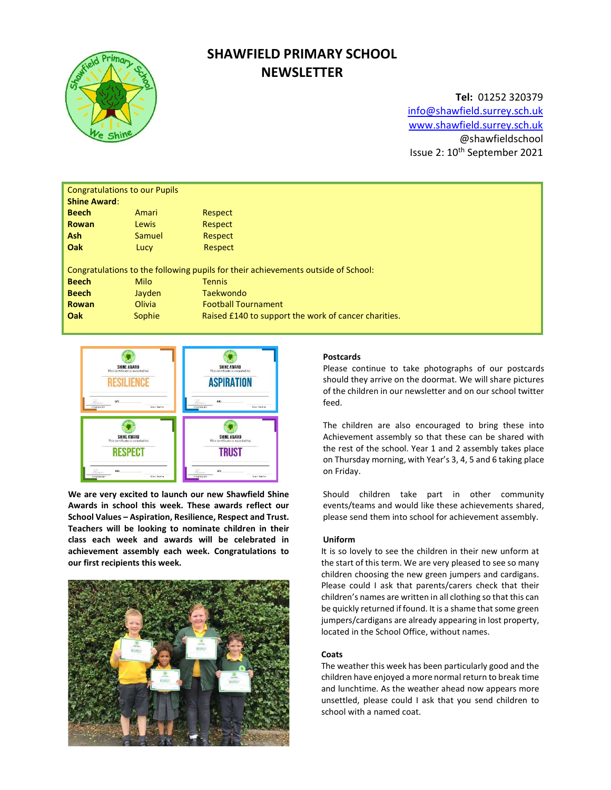

# SHAWFIELD PRIMARY SCHOOL **NEWSLETTER**

Tel: 01252 320379 info@shawfield.surrey.sch.uk www.shawfield.surrey.sch.uk @shawfieldschool Issue 2: 10<sup>th</sup> September 2021

| <b>Congratulations to our Pupils</b><br><b>Shine Award:</b>                       |             |                                                      |  |  |  |  |
|-----------------------------------------------------------------------------------|-------------|------------------------------------------------------|--|--|--|--|
| <b>Beech</b>                                                                      | Amari       | Respect                                              |  |  |  |  |
| <b>Rowan</b>                                                                      | Lewis       | Respect                                              |  |  |  |  |
| <b>Ash</b>                                                                        | Samuel      | Respect                                              |  |  |  |  |
| Oak                                                                               | Lucy        | Respect                                              |  |  |  |  |
| Congratulations to the following pupils for their achievements outside of School: |             |                                                      |  |  |  |  |
| <b>Beech</b>                                                                      | <b>Milo</b> | <b>Tennis</b>                                        |  |  |  |  |
| <b>Beech</b>                                                                      | Jayden      | Taekwondo                                            |  |  |  |  |
| Rowan                                                                             | Olivia      | <b>Football Tournament</b>                           |  |  |  |  |
| Oak                                                                               | Sophie      | Raised £140 to support the work of cancer charities. |  |  |  |  |
|                                                                                   |             |                                                      |  |  |  |  |



We are very excited to launch our new Shawfield Shine Awards in school this week. These awards reflect our School Values – Aspiration, Resilience, Respect and Trust. Teachers will be looking to nominate children in their class each week and awards will be celebrated in achievement assembly each week. Congratulations to our first recipients this week.



## Postcards

Please continue to take photographs of our postcards should they arrive on the doormat. We will share pictures of the children in our newsletter and on our school twitter feed.

The children are also encouraged to bring these into Achievement assembly so that these can be shared with the rest of the school. Year 1 and 2 assembly takes place on Thursday morning, with Year's 3, 4, 5 and 6 taking place on Friday.

Should children take part in other community events/teams and would like these achievements shared, please send them into school for achievement assembly.

#### Uniform

It is so lovely to see the children in their new unform at the start of this term. We are very pleased to see so many children choosing the new green jumpers and cardigans. Please could I ask that parents/carers check that their children's names are written in all clothing so that this can be quickly returned if found. It is a shame that some green jumpers/cardigans are already appearing in lost property, located in the School Office, without names.

#### Coats

The weather this week has been particularly good and the children have enjoyed a more normal return to break time and lunchtime. As the weather ahead now appears more unsettled, please could I ask that you send children to school with a named coat.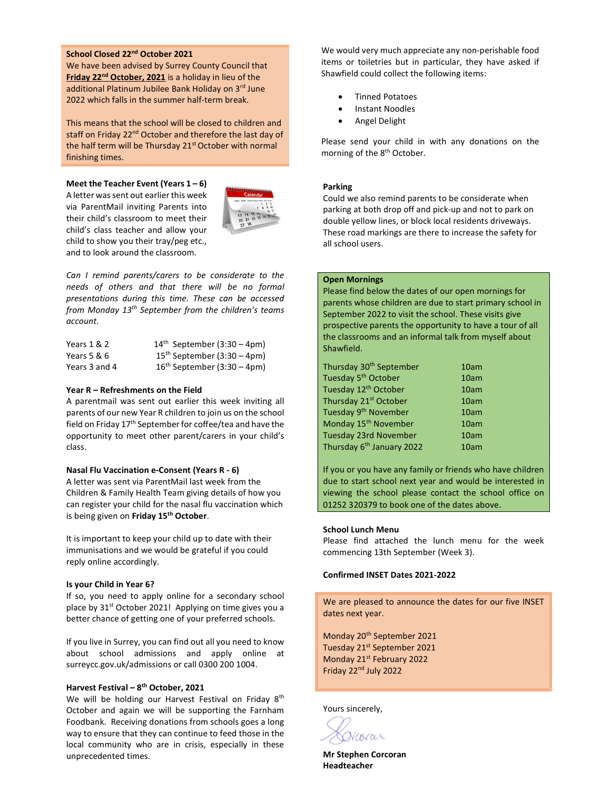## School Closed 22nd October 2021

We have been advised by Surrey County Council that Friday 22<sup>nd</sup> October, 2021 is a holiday in lieu of the additional Platinum Jubilee Bank Holiday on 3rd June 2022 which falls in the summer half-term break.

This means that the school will be closed to children and staff on Friday 22<sup>nd</sup> October and therefore the last day of the half term will be Thursday 21<sup>st</sup> October with normal finishing times.

Meet the Teacher Event (Years  $1 - 6$ ) A letter was sent out earlier this week via ParentMail inviting Parents into their child's classroom to meet their child's class teacher and allow your child to show you their tray/peg etc., and to look around the classroom.



Can I remind parents/carers to be considerate to the needs of others and that there will be no formal presentations during this time. These can be accessed from Monday 13<sup>th</sup> September from the children's teams account.

| Years 1 & 2   | $14th$ September (3:30 – 4pm) |
|---------------|-------------------------------|
| Years 5 & 6   | $15th$ September (3:30 – 4pm) |
| Years 3 and 4 | $16th$ September (3:30 – 4pm) |

### Year R – Refreshments on the Field

A parentmail was sent out earlier this week inviting all parents of our new Year R children to join us on the school field on Friday 17th September for coffee/tea and have the opportunity to meet other parent/carers in your child's class.

#### Nasal Flu Vaccination e-Consent (Years R - 6)

A letter was sent via ParentMail last week from the Children & Family Health Team giving details of how you can register your child for the nasal flu vaccination which is being given on Friday 15<sup>th</sup> October.

It is important to keep your child up to date with their immunisations and we would be grateful if you could reply online accordingly.

#### Is your Child in Year 6?

If so, you need to apply online for a secondary school place by 31<sup>st</sup> October 2021! Applying on time gives you a better chance of getting one of your preferred schools.

If you live in Surrey, you can find out all you need to know about school admissions and apply online at surreycc.gov.uk/admissions or call 0300 200 1004.

### Harvest Festival – 8<sup>th</sup> October, 2021

We will be holding our Harvest Festival on Friday 8<sup>th</sup> October and again we will be supporting the Farnham Foodbank. Receiving donations from schools goes a long way to ensure that they can continue to feed those in the local community who are in crisis, especially in these unprecedented times.

We would very much appreciate any non-perishable food items or toiletries but in particular, they have asked if Shawfield could collect the following items:

- Tinned Potatoes
- Instant Noodles
- Angel Delight

Please send your child in with any donations on the morning of the 8<sup>th</sup> October.

#### Parking

Could we also remind parents to be considerate when parking at both drop off and pick-up and not to park on double yellow lines, or block local residents driveways. These road markings are there to increase the safety for all school users.

# Open Mornings

Please find below the dates of our open mornings for parents whose children are due to start primary school in September 2022 to visit the school. These visits give prospective parents the opportunity to have a tour of all the classrooms and an informal talk from myself about Shawfield.

| Thursday 30 <sup>th</sup> September   | 10am |
|---------------------------------------|------|
| Tuesday 5 <sup>th</sup> October       | 10am |
| Tuesday 12 <sup>th</sup> October      | 10am |
| Thursday 21 <sup>st</sup> October     | 10am |
| Tuesday 9 <sup>th</sup> November      | 10am |
| Monday 15 <sup>th</sup> November      | 10am |
| Tuesday 23rd November                 | 10am |
| Thursday 6 <sup>th</sup> January 2022 | 10am |

If you or you have any family or friends who have children due to start school next year and would be interested in viewing the school please contact the school office on 01252 320379 to book one of the dates above.

## School Lunch Menu

Please find attached the lunch menu for the week commencing 13th September (Week 3).

## Confirmed INSET Dates 2021-2022

We are pleased to announce the dates for our five INSET dates next year.

Monday 20<sup>th</sup> September 2021 Tuesday 21<sup>st</sup> September 2021 Monday 21st February 2022 Friday 22<sup>nd</sup> July 2022

Yours sincerely,

Varar

Mr Stephen Corcoran Headteacher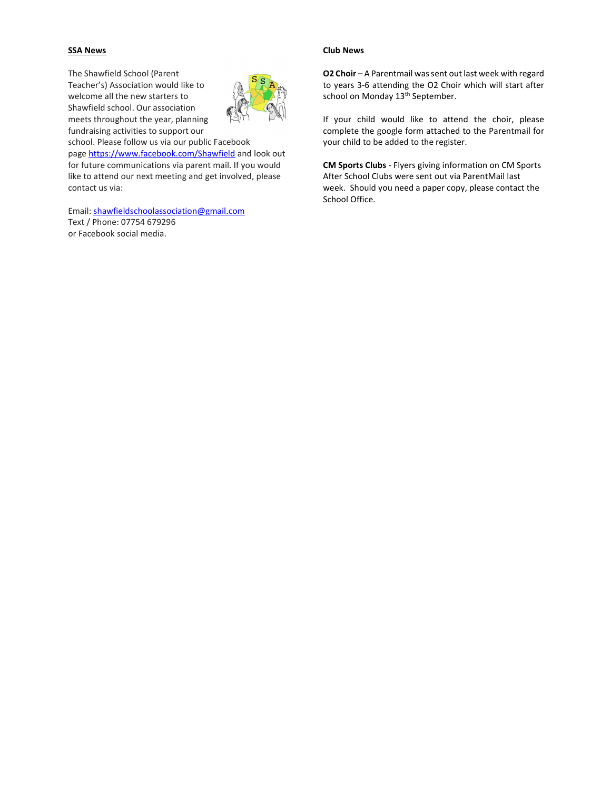## SSA News

The Shawfield School (Parent Teacher's) Association would like to welcome all the new starters to Shawfield school. Our association meets throughout the year, planning fundraising activities to support our



school. Please follow us via our public Facebook page https://www.facebook.com/Shawfield and look out for future communications via parent mail. If you would like to attend our next meeting and get involved, please contact us via:

Email: shawfieldschoolassociation@gmail.com Text / Phone: 07754 679296 or Facebook social media.

## Club News

O2 Choir – A Parentmail was sent out last week with regard to years 3-6 attending the O2 Choir which will start after school on Monday 13<sup>th</sup> September.

If your child would like to attend the choir, please complete the google form attached to the Parentmail for your child to be added to the register.

CM Sports Clubs - Flyers giving information on CM Sports After School Clubs were sent out via ParentMail last week. Should you need a paper copy, please contact the School Office.